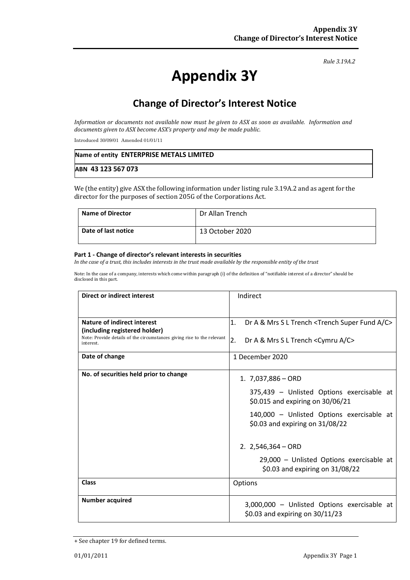#### *Rule 3.19A.2*

# **Appendix 3Y**

# **Change of Director's Interest Notice**

*Information or documents not available now must be given to ASX as soon as available. Information and documents given to ASX become ASX's property and may be made public.*

Introduced 30/09/01 Amended 01/01/11

| Name of entity ENTERPRISE METALS LIMITED |  |
|------------------------------------------|--|
| ABN 43 123 567 073                       |  |

We (the entity) give ASX the following information under listing rule 3.19A.2 and as agent for the director for the purposes of section 205G of the Corporations Act.

| <b>Name of Director</b> | Dr Allan Trench |
|-------------------------|-----------------|
| Date of last notice     | 13 October 2020 |

#### **Part 1 - Change of director's relevant interests in securities**

*In the case of a trust, this includes interests in the trust made available by the responsible entity of the trust*

Note: In the case of a company, interests which come within paragraph (i) of the definition of "notifiable interest of a director" should be disclosed in this part.

| <b>Direct or indirect interest</b>                                                                                   | Indirect                                                                       |
|----------------------------------------------------------------------------------------------------------------------|--------------------------------------------------------------------------------|
|                                                                                                                      |                                                                                |
| Nature of indirect interest                                                                                          | 1.<br>Dr A & Mrs S L Trench <trench a="" c="" fund="" super=""></trench>       |
| (including registered holder)<br>Note: Provide details of the circumstances giving rise to the relevant<br>interest. | 2.<br>Dr A & Mrs S L Trench <cymru a="" c=""></cymru>                          |
| Date of change                                                                                                       | 1 December 2020                                                                |
| No. of securities held prior to change                                                                               | 1. $7,037,886 - ORD$                                                           |
|                                                                                                                      | 375,439 - Unlisted Options exercisable at<br>\$0.015 and expiring on 30/06/21  |
|                                                                                                                      | 140,000 - Unlisted Options exercisable at<br>\$0.03 and expiring on 31/08/22   |
|                                                                                                                      | 2. $2,546,364 - ORD$                                                           |
|                                                                                                                      | 29,000 - Unlisted Options exercisable at<br>\$0.03 and expiring on 31/08/22    |
| <b>Class</b>                                                                                                         | Options                                                                        |
| <b>Number acquired</b>                                                                                               | 3,000,000 - Unlisted Options exercisable at<br>\$0.03 and expiring on 30/11/23 |

<sup>+</sup> See chapter 19 for defined terms.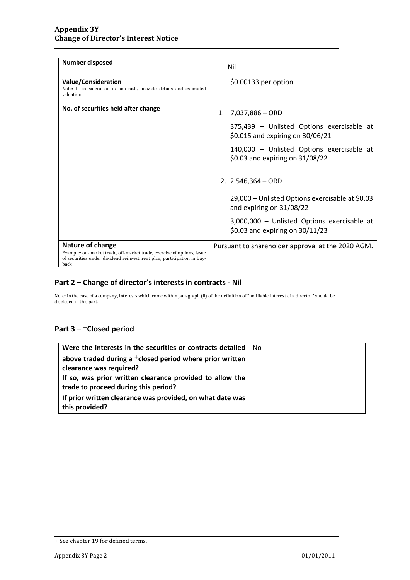| <b>Number disposed</b>                                                                                                                                                      | Nil                                                                              |
|-----------------------------------------------------------------------------------------------------------------------------------------------------------------------------|----------------------------------------------------------------------------------|
| <b>Value/Consideration</b><br>Note: If consideration is non-cash, provide details and estimated<br>valuation                                                                | \$0.00133 per option.                                                            |
| No. of securities held after change                                                                                                                                         | 7,037,886 - ORD<br>1.                                                            |
|                                                                                                                                                                             | 375,439 - Unlisted Options exercisable at<br>\$0.015 and expiring on 30/06/21    |
|                                                                                                                                                                             | 140,000 - Unlisted Options exercisable at<br>\$0.03 and expiring on 31/08/22     |
|                                                                                                                                                                             | 2. $2,546,364 - ORD$                                                             |
|                                                                                                                                                                             | 29,000 – Unlisted Options exercisable at \$0.03<br>and expiring on 31/08/22      |
|                                                                                                                                                                             | 3,000,000 - Unlisted Options exercisable at<br>\$0.03 and expiring on $30/11/23$ |
| Nature of change<br>Example: on-market trade, off-market trade, exercise of options, issue<br>of securities under dividend reinvestment plan, participation in buy-<br>back | Pursuant to shareholder approval at the 2020 AGM.                                |

### **Part 2 – Change of director's interests in contracts - Nil**

Note: In the case of a company, interests which come within paragraph (ii) of the definition of "notifiable interest of a director" should be disclosed in this part.

## **Part 3 –** +**Closed period**

| Were the interests in the securities or contracts detailed   No      |  |
|----------------------------------------------------------------------|--|
| above traded during a <sup>+</sup> closed period where prior written |  |
| clearance was required?                                              |  |
| If so, was prior written clearance provided to allow the             |  |
| trade to proceed during this period?                                 |  |
| If prior written clearance was provided, on what date was            |  |
| this provided?                                                       |  |

<sup>+</sup> See chapter 19 for defined terms.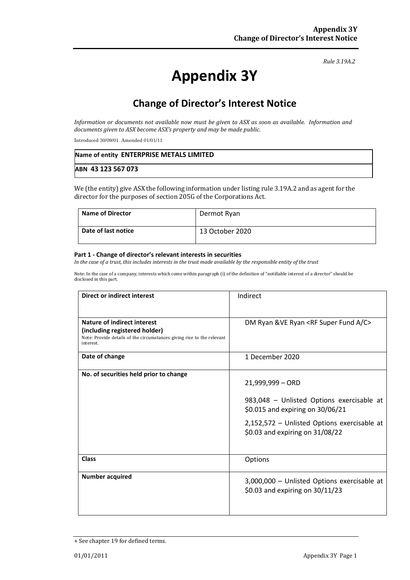#### *Rule 3.19A.2*

# **Appendix 3Y**

# **Change of Director's Interest Notice**

*Information or documents not available now must be given to ASX as soon as available. Information and documents given to ASX become ASX's property and may be made public.*

Introduced 30/09/01 Amended 01/01/11

| Name of entity ENTERPRISE METALS LIMITED |  |
|------------------------------------------|--|
| ABN 43 123 567 073                       |  |

We (the entity) give ASX the following information under listing rule 3.19A.2 and as agent for the director for the purposes of section 205G of the Corporations Act.

| <b>Name of Director</b> | Dermot Ryan     |
|-------------------------|-----------------|
| Date of last notice     | 13 October 2020 |

#### **Part 1 - Change of director's relevant interests in securities**

*In the case of a trust, this includes interests in the trust made available by the responsible entity of the trust*

Note: In the case of a company, interests which come within paragraph (i) of the definition of "notifiable interest of a director" should be disclosed in this part.

| Direct or indirect interest                                                         | Indirect                                                                      |
|-------------------------------------------------------------------------------------|-------------------------------------------------------------------------------|
|                                                                                     |                                                                               |
| Nature of indirect interest                                                         | DM Ryan & VE Ryan <rf a="" c="" fund="" super=""></rf>                        |
| (including registered holder)                                                       |                                                                               |
| Note: Provide details of the circumstances giving rise to the relevant<br>interest. |                                                                               |
| Date of change                                                                      | 1 December 2020                                                               |
| No. of securities held prior to change                                              |                                                                               |
|                                                                                     | 21,999,999 - ORD                                                              |
|                                                                                     |                                                                               |
|                                                                                     | 983,048 - Unlisted Options exercisable at<br>\$0.015 and expiring on 30/06/21 |
|                                                                                     | 2,152,572 - Unlisted Options exercisable at                                   |
|                                                                                     | \$0.03 and expiring on 31/08/22                                               |
|                                                                                     |                                                                               |
| <b>Class</b>                                                                        | Options                                                                       |
| <b>Number acquired</b>                                                              |                                                                               |
|                                                                                     | 3,000,000 - Unlisted Options exercisable at                                   |
|                                                                                     | \$0.03 and expiring on $30/11/23$                                             |
|                                                                                     |                                                                               |
|                                                                                     |                                                                               |

<sup>+</sup> See chapter 19 for defined terms.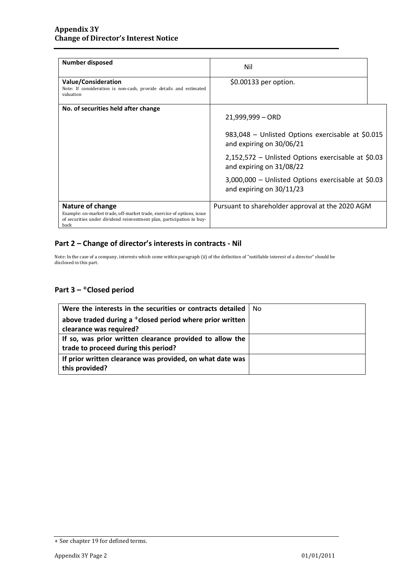| <b>Number disposed</b>                                                                                                                                                      | Nil                                                                            |  |
|-----------------------------------------------------------------------------------------------------------------------------------------------------------------------------|--------------------------------------------------------------------------------|--|
| <b>Value/Consideration</b><br>Note: If consideration is non-cash, provide details and estimated<br>valuation                                                                | \$0.00133 per option.                                                          |  |
| No. of securities held after change                                                                                                                                         | $21,999,999 - ORD$                                                             |  |
|                                                                                                                                                                             | 983,048 - Unlisted Options exercisable at \$0.015<br>and expiring on 30/06/21  |  |
|                                                                                                                                                                             | 2,152,572 – Unlisted Options exercisable at \$0.03<br>and expiring on 31/08/22 |  |
|                                                                                                                                                                             | 3,000,000 - Unlisted Options exercisable at \$0.03<br>and expiring on 30/11/23 |  |
| Nature of change<br>Example: on-market trade, off-market trade, exercise of options, issue<br>of securities under dividend reinvestment plan, participation in buy-<br>back | Pursuant to shareholder approval at the 2020 AGM                               |  |

### **Part 2 – Change of director's interests in contracts - Nil**

Note: In the case of a company, interests which come within paragraph (ii) of the definition of "notifiable interest of a director" should be disclosed in this part.

## **Part 3 –** +**Closed period**

| Were the interests in the securities or contracts detailed   No      |  |
|----------------------------------------------------------------------|--|
| above traded during a <sup>+</sup> closed period where prior written |  |
| clearance was required?                                              |  |
| If so, was prior written clearance provided to allow the             |  |
| trade to proceed during this period?                                 |  |
| If prior written clearance was provided, on what date was            |  |
| this provided?                                                       |  |

<sup>+</sup> See chapter 19 for defined terms.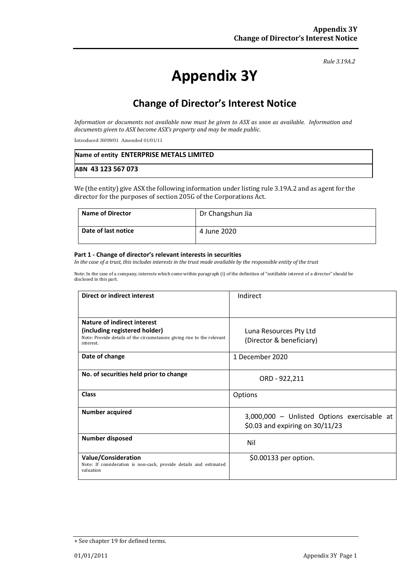#### *Rule 3.19A.2*

# **Appendix 3Y**

# **Change of Director's Interest Notice**

*Information or documents not available now must be given to ASX as soon as available. Information and documents given to ASX become ASX's property and may be made public.*

Introduced 30/09/01 Amended 01/01/11

| Name of entity ENTERPRISE METALS LIMITED |  |
|------------------------------------------|--|
| ABN 43 123 567 073                       |  |

We (the entity) give ASX the following information under listing rule 3.19A.2 and as agent for the director for the purposes of section 205G of the Corporations Act.

| <b>Name of Director</b> | Dr Changshun Jia |
|-------------------------|------------------|
| Date of last notice     | 4 June 2020      |

#### **Part 1 - Change of director's relevant interests in securities**

*In the case of a trust, this includes interests in the trust made available by the responsible entity of the trust*

Note: In the case of a company, interests which come within paragraph (i) of the definition of "notifiable interest of a director" should be disclosed in this part.

| Direct or indirect interest                                                                                  | Indirect                                    |  |
|--------------------------------------------------------------------------------------------------------------|---------------------------------------------|--|
|                                                                                                              |                                             |  |
| Nature of indirect interest                                                                                  |                                             |  |
| (including registered holder)                                                                                | Luna Resources Pty Ltd                      |  |
| Note: Provide details of the circumstances giving rise to the relevant<br>interest.                          | (Director & beneficiary)                    |  |
| Date of change                                                                                               | 1 December 2020                             |  |
| No. of securities held prior to change                                                                       | ORD - 922,211                               |  |
| <b>Class</b>                                                                                                 | Options                                     |  |
| <b>Number acquired</b>                                                                                       | 3,000,000 - Unlisted Options exercisable at |  |
|                                                                                                              | \$0.03 and expiring on 30/11/23             |  |
| <b>Number disposed</b>                                                                                       | Nil                                         |  |
| <b>Value/Consideration</b><br>Note: If consideration is non-cash, provide details and estimated<br>valuation | \$0.00133 per option.                       |  |

<sup>+</sup> See chapter 19 for defined terms.